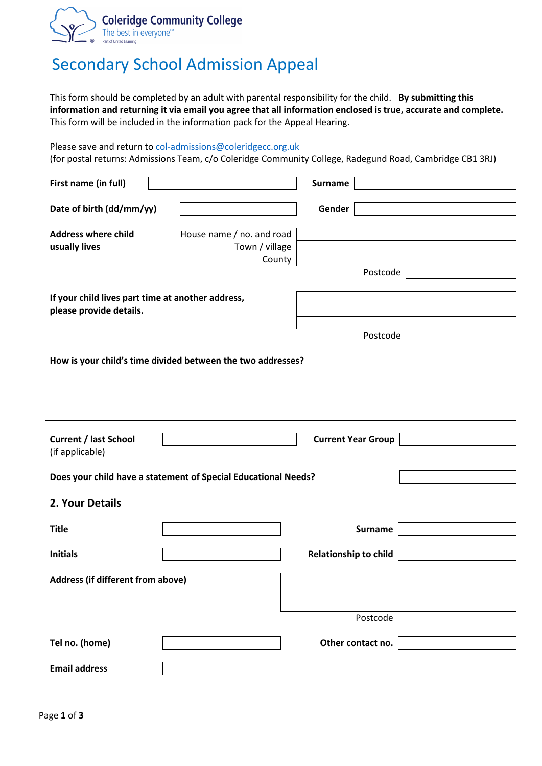

## Secondary School Admission Appeal

This form should be completed by an adult with parental responsibility for the child. **By submitting this information and returning it via email you agree that all information enclosed is true, accurate and complete.**  This form will be included in the information pack for the Appeal Hearing.

Please save and return to [col-admissions@c](mailto:admissions@cap.education)oleridgecc.org.uk

(for postal returns: Admissions Team, c/o Coleridge Community College, Radegund Road, Cambridge CB1 3RJ)

| First name (in full)                                           |                                                             | <b>Surname</b>            |  |  |  |  |
|----------------------------------------------------------------|-------------------------------------------------------------|---------------------------|--|--|--|--|
| Date of birth (dd/mm/yy)                                       |                                                             | Gender                    |  |  |  |  |
| <b>Address where child</b>                                     | House name / no. and road                                   |                           |  |  |  |  |
| usually lives                                                  | Town / village                                              |                           |  |  |  |  |
|                                                                | County                                                      | Postcode                  |  |  |  |  |
|                                                                |                                                             |                           |  |  |  |  |
| If your child lives part time at another address,              |                                                             |                           |  |  |  |  |
| please provide details.                                        |                                                             |                           |  |  |  |  |
|                                                                |                                                             | Postcode                  |  |  |  |  |
|                                                                | How is your child's time divided between the two addresses? |                           |  |  |  |  |
|                                                                |                                                             |                           |  |  |  |  |
|                                                                |                                                             |                           |  |  |  |  |
| <b>Current / last School</b><br>(if applicable)                |                                                             | <b>Current Year Group</b> |  |  |  |  |
|                                                                |                                                             |                           |  |  |  |  |
| Does your child have a statement of Special Educational Needs? |                                                             |                           |  |  |  |  |
| 2. Your Details                                                |                                                             |                           |  |  |  |  |
| <b>Title</b>                                                   |                                                             | <b>Surname</b>            |  |  |  |  |
|                                                                |                                                             |                           |  |  |  |  |
| <b>Initials</b>                                                |                                                             | Relationship to child     |  |  |  |  |
| Address (if different from above)                              |                                                             |                           |  |  |  |  |
|                                                                |                                                             |                           |  |  |  |  |
|                                                                |                                                             | Postcode                  |  |  |  |  |
|                                                                |                                                             |                           |  |  |  |  |
| Tel no. (home)                                                 |                                                             | Other contact no.         |  |  |  |  |
| <b>Email address</b>                                           |                                                             |                           |  |  |  |  |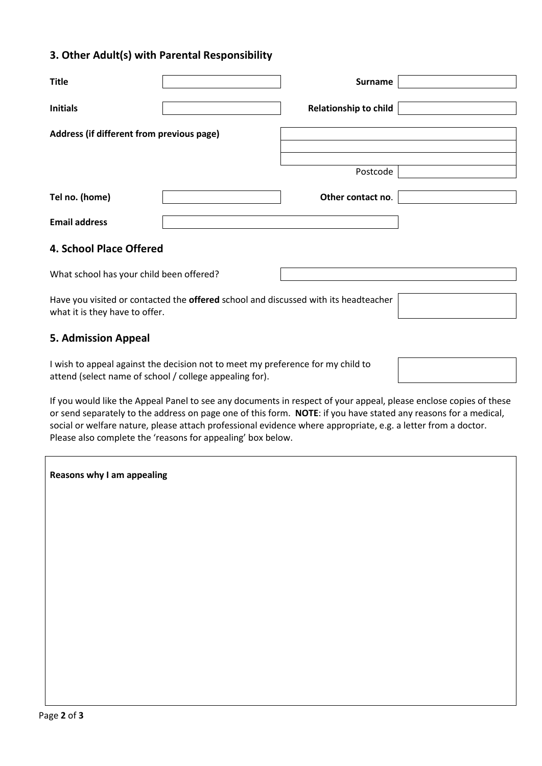## **3. Other Adult(s) with Parental Responsibility**

| <b>Title</b>                                                                                                                               |  | <b>Surname</b>               |  |  |  |
|--------------------------------------------------------------------------------------------------------------------------------------------|--|------------------------------|--|--|--|
| <b>Initials</b>                                                                                                                            |  | <b>Relationship to child</b> |  |  |  |
| Address (if different from previous page)                                                                                                  |  |                              |  |  |  |
|                                                                                                                                            |  |                              |  |  |  |
|                                                                                                                                            |  | Postcode                     |  |  |  |
| Tel no. (home)                                                                                                                             |  | Other contact no.            |  |  |  |
| <b>Email address</b>                                                                                                                       |  |                              |  |  |  |
| <b>4. School Place Offered</b>                                                                                                             |  |                              |  |  |  |
| What school has your child been offered?                                                                                                   |  |                              |  |  |  |
| Have you visited or contacted the <b>offered</b> school and discussed with its headteacher<br>what it is they have to offer.               |  |                              |  |  |  |
| <b>5. Admission Appeal</b>                                                                                                                 |  |                              |  |  |  |
| I wish to appeal against the decision not to meet my preference for my child to<br>attend (select name of school / college appealing for). |  |                              |  |  |  |

If you would like the Appeal Panel to see any documents in respect of your appeal, please enclose copies of these or send separately to the address on page one of this form. **NOTE**: if you have stated any reasons for a medical, social or welfare nature, please attach professional evidence where appropriate, e.g. a letter from a doctor. Please also complete the 'reasons for appealing' box below.

| Reasons why I am appealing |  |  |  |  |
|----------------------------|--|--|--|--|
|----------------------------|--|--|--|--|